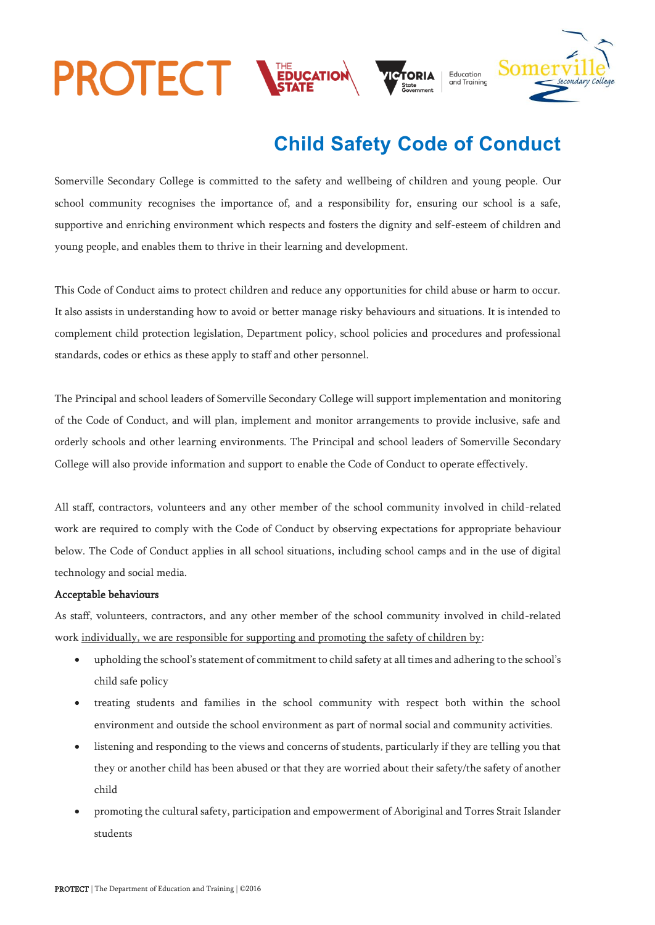

## **Child Safety Code of Conduct**

Somerville Secondary College is committed to the safety and wellbeing of children and young people. Our school community recognises the importance of, and a responsibility for, ensuring our school is a safe, supportive and enriching environment which respects and fosters the dignity and self-esteem of children and young people, and enables them to thrive in their learning and development.

This Code of Conduct aims to protect children and reduce any opportunities for child abuse or harm to occur. It also assists in understanding how to avoid or better manage risky behaviours and situations. It is intended to complement child protection legislation, Department policy, school policies and procedures and professional standards, codes or ethics as these apply to staff and other personnel.

The Principal and school leaders of Somerville Secondary College will support implementation and monitoring of the Code of Conduct, and will plan, implement and monitor arrangements to provide inclusive, safe and orderly schools and other learning environments. The Principal and school leaders of Somerville Secondary College will also provide information and support to enable the Code of Conduct to operate effectively.

All staff, contractors, volunteers and any other member of the school community involved in child-related work are required to comply with the Code of Conduct by observing expectations for appropriate behaviour below. The Code of Conduct applies in all school situations, including school camps and in the use of digital technology and social media.

## Acceptable behaviours

As staff, volunteers, contractors, and any other member of the school community involved in child-related work individually, we are responsible for supporting and promoting the safety of children by:

- upholding the school's statement of commitment to child safety at all times and adhering to the school's child safe policy
- treating students and families in the school community with respect both within the school environment and outside the school environment as part of normal social and community activities.
- listening and responding to the views and concerns of students, particularly if they are telling you that they or another child has been abused or that they are worried about their safety/the safety of another child
- promoting the cultural safety, participation and empowerment of Aboriginal and Torres Strait Islander students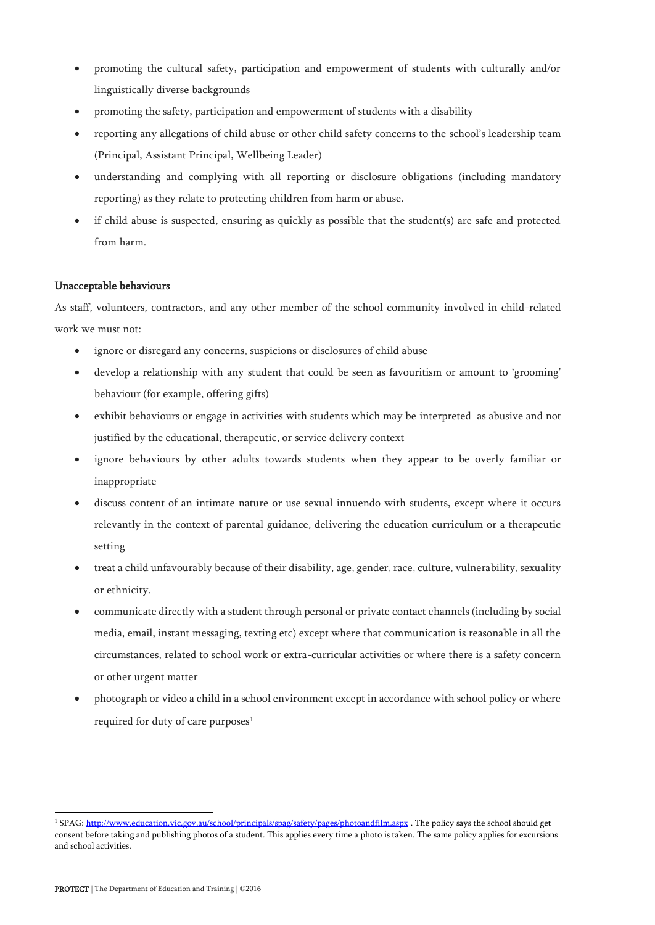- promoting the cultural safety, participation and empowerment of students with culturally and/or linguistically diverse backgrounds
- promoting the safety, participation and empowerment of students with a disability
- reporting any allegations of child abuse or other child safety concerns to the school's leadership team (Principal, Assistant Principal, Wellbeing Leader)
- understanding and complying with all reporting or disclosure obligations (including mandatory reporting) as they relate to protecting children from harm or abuse.
- if child abuse is suspected, ensuring as quickly as possible that the student(s) are safe and protected from harm.

## Unacceptable behaviours

As staff, volunteers, contractors, and any other member of the school community involved in child-related work we must not:

- ignore or disregard any concerns, suspicions or disclosures of child abuse
- develop a relationship with any student that could be seen as favouritism or amount to 'grooming' behaviour (for example, offering gifts)
- exhibit behaviours or engage in activities with students which may be interpreted as abusive and not justified by the educational, therapeutic, or service delivery context
- ignore behaviours by other adults towards students when they appear to be overly familiar or inappropriate
- discuss content of an intimate nature or use sexual innuendo with students, except where it occurs relevantly in the context of parental guidance, delivering the education curriculum or a therapeutic setting
- treat a child unfavourably because of their disability, age, gender, race, culture, vulnerability, sexuality or ethnicity.
- communicate directly with a student through personal or private contact channels (including by social media, email, instant messaging, texting etc) except where that communication is reasonable in all the circumstances, related to school work or extra-curricular activities or where there is a safety concern or other urgent matter
- photograph or video a child in a school environment except in accordance with school policy or where required for duty of care purposes<sup>1</sup>

<sup>&</sup>lt;sup>1</sup> SPAG[: http://www.education.vic.gov.au/school/principals/spag/safety/pages/photoandfilm.aspx](http://www.education.vic.gov.au/school/principals/spag/safety/pages/photoandfilm.aspx) . The policy says the school should get consent before taking and publishing photos of a student. This applies every time a photo is taken. The same policy applies for excursions and school activities.